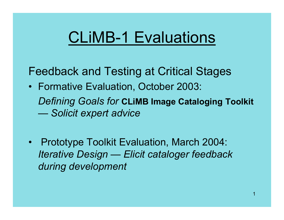## CLiMB-1 Evaluations

Feedback and Testing at Critical Stages

- Formative Evaluation, October 2003: *Defining Goals for* **CLiMB Image Cataloging Toolkit**  *Solicit expert advice*
- $\bullet$  Prototype Toolkit Evaluation, March 2004: *Iterative Design — Elicit cataloger feedback during development*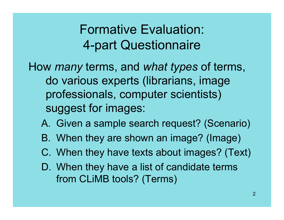#### Formative Evaluation: 4-part Questionnaire

How *many* terms, and *what types* of terms, do various experts (librarians, image professionals, computer scientists) suggest for images:

- A. Given a sample search request? (Scenario)
- B. When they are shown an image? (Image)
- C. When they have texts about images? (Text)
- D. When they have a list of candidate terms from CLiMB tools? (Terms)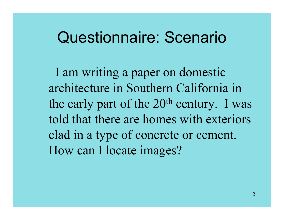### Questionnaire: Scenario

I am writing a paper on domestic architecture in Southern California in the early part of the  $20<sup>th</sup>$  century. I was told that there are homes with exteriors clad in a type of concrete or cement. How can I locate images?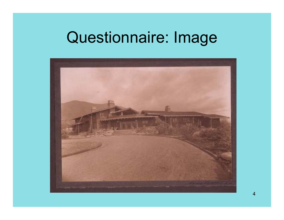## Questionnaire: Image

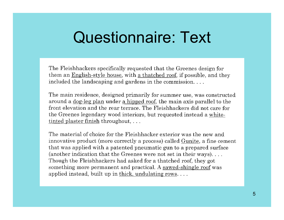## Questionnaire: Text

The Fleishhackers specifically requested that the Greenes design for them an English-style house, with a thatched roof, if possible, and they included the landscaping and gardens in the commission...

The main residence, designed primarily for summer use, was constructed around a <u>dog-leg plan</u> under a hipped roof, the main axis parallel to the front elevation and the rear terrace. The Fleishhackers did not care for the Greenes legendary wood interiors, but requested instead a white- $inted plaster finish throughout, ...$ </u>

The material of choice for the Fleishhacker exterior was the new and innovative product (more correctly a process) called Gunite, a fine cement that was applied with a patented pneumatic gun to a prepared surface (another indication that the Greenes were not set in their ways).... Though the Fleishhackers had asked for a thatched roof, they got something more permanent and practical. A sawed-shingle roof was applied instead, built up in thick, undulating rows....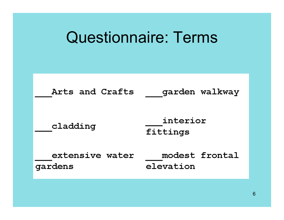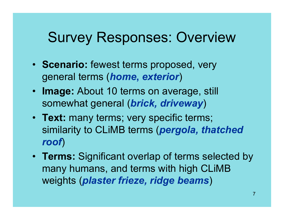### Survey Responses: Overview

- **Scenario:** fewest terms proposed, very general terms (*home***,** *exterior*)
- **Image:** About 10 terms on average, still somewhat general (*brick, driveway*)
- **Text:** many terms; very specific terms; similarity to CLiMB terms (*pergola, thatched roof*)
- **Terms:** Significant overlap of terms selected by many humans, and terms with high CLiMB weights (*plaster frieze, ridge beams* )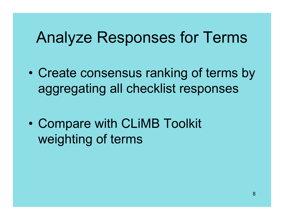## Analyze Responses for Terms

 $\bullet$  Create consensus ranking of terms by aggregating all checklist responses

 $\bullet$  Compare with CLiMB Toolkit weighting of terms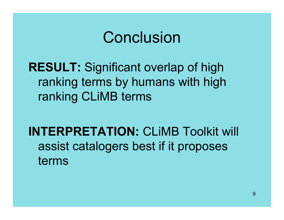### **Conclusion**

#### **RESULT:** Significant overlap of high ranking terms by humans with high ranking CLiMB terms

#### **INTERPRETATION:** CLiMB Toolkit will assist catalogers best if it proposes terms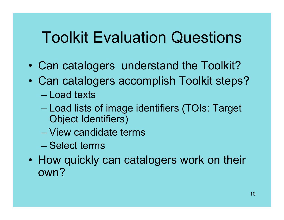# Toolkit Evaluation Questions

- •Can catalogers understand the Toolkit?
- • Can catalogers accomplish Toolkit steps? – Load texts
	- Load lists of image identifiers (TOIs: Target Object Identifiers)
	- View candidate terms
	- Select terms
- How quickly can catalogers work on their own?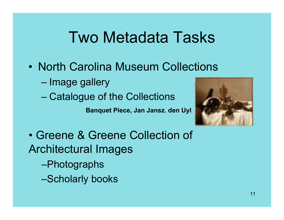# Two Metadata Tasks

- North Carolina Museum Collections
	- Image gallery
	- Catalogue of the Collections

**Banquet Piece, Jan Jansz. den Uyl**



• Greene & Greene Collection of Architectural Images –Photographs

–Scholarly books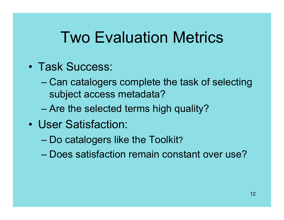# Two Evaluation Metrics

- Task Success:
	- Can catalogers complete the task of selecting subject access metadata?
	- Are the selected terms high quality?
- User Satisfaction:
	- Do catalogers like the Toolkit?
	- Does satisfaction remain constant over use?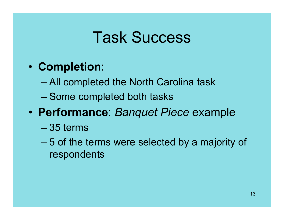## Task Success

- • **Completion**:
	- All completed the North Carolina task
	- Some completed both tasks
- • **Performance**: *Banquet Piece* example
	- 35 terms
	- 5 of the terms were selected by a majority of respondents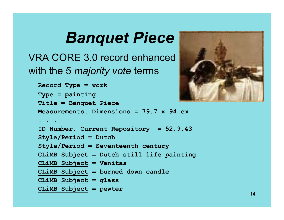# *Banquet Piece*

VRA CORE 3.0 record enhanced with the 5 *majority vote* terms

```
Record Type = work
Type = painting
Title = Banquet Piece
Measurements. Dimensions = 79.7 x 94 cm. . .ID Number. Current Repository = 52.9.43
Style/Period = Dutch
Style/Period = Seventeenth century
CLiMB Subject = Dutch still life painting
CLiMB Subject = Vanitas
CLiMB Subject = burned down candle
CLiMB Subject = glass 
CLiMB Subject = pewter
```
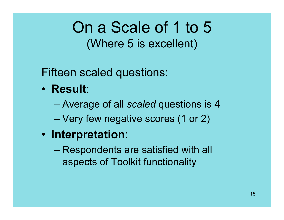### On a Scale of 1 to 5(Where 5 is excellent)

Fifteen scaled questions:

- **Result**:
	- Average of all *scaled* questions is 4
	- –Very few negative scores (1 or 2)
- **Interpretation**:
	- Respondents are satisfied with all aspects of Toolkit functionality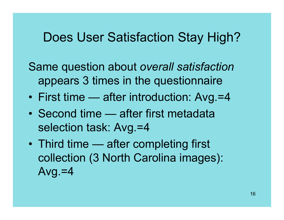#### Does User Satisfaction Stay High?

- Same question about *overall satisfaction* appears 3 times in the questionnaire
- •First time — after introduction: Avg.=4
- Second time after first metadata selection task: Avg.=4
- • Third time — after completing first collection (3 North Carolina images): Avg. $=4$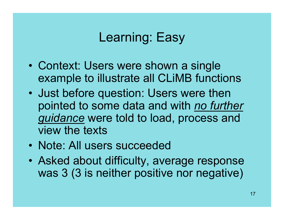#### Learning: Easy

- • Context: Users were shown a single example to illustrate all CLiMB functions
- • Just before question: Users were then pointed to some data and with *no further guidance* were told to load, process and view the texts
- Note: All users succeeded
- • Asked about difficulty, average response was 3 (3 is neither positive nor negative)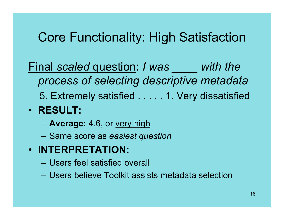#### Core Functionality: High Satisfaction

- Final *scaled* question: *I was \_\_\_\_ with the process of selecting descriptive metadata*
	- 5. Extremely satisfied . . . . . 1. Very dissatisfied
- **RESULT:**
	- **Average:** 4.6, or very high
	- Same score as *easiest question*
- **INTERPRETATION:**
	- Users feel satisfied overall
	- Users believe Toolkit assists metadata selection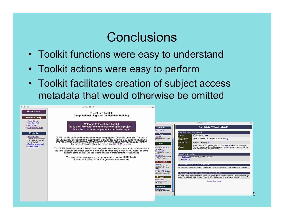#### **Conclusions**

- Toolkit functions were easy to understand
- Toolkit actions were easy to perform
- Toolkit facilitates creation of subject access metadata that would otherwise be omitted

| 000                                                               | <b>CLIMB Toolkit</b>                                                                                                                                                                                                                                                                       | $\bigcirc$                                                                                                                                                                                                                             |
|-------------------------------------------------------------------|--------------------------------------------------------------------------------------------------------------------------------------------------------------------------------------------------------------------------------------------------------------------------------------------|----------------------------------------------------------------------------------------------------------------------------------------------------------------------------------------------------------------------------------------|
| <b>Main Menu</b><br>Home and Help                                 | The CLIMB Toolkit:<br><b>Computational Lingistics for Metadata Building</b>                                                                                                                                                                                                                |                                                                                                                                                                                                                                        |
| • Home Screen<br>. What Do I Do?                                  | Welcome to the CLIMB Toolkit.                                                                                                                                                                                                                                                              | <b>CLIMB Toolkit</b><br>$\bigcirc$                                                                                                                                                                                                     |
| • Help Index<br>• CLIMB Home Page                                 | Go to the "Projects" menu to create or open a project.<br>Click the $\frac{1}{2}$ icon for help about a particular topic.                                                                                                                                                                  | Text Details: "NCMA Handbook"<br>Projects<br>ose this project                                                                                                                                                                          |
| <b>Projects</b>                                                   |                                                                                                                                                                                                                                                                                            | Basic Information About the Text<br>Texts<br>NCMA Handbook Q<br><b>Name</b>                                                                                                                                                            |
| • Projects Menu<br>See an overview of all<br>the Projects created | CLIMB is a Mellon funded interdisciplinary research project at Columbia University. The goal of<br>this project is to facilitate subject cataloging of digital image collections by using computational<br>linguistic techniques to                                                        | ext Menu<br>Bibliographic<br>fanage the texts in your<br>Courtesy of the North Carolina Museum of Art (2)<br>roiect<br>reference to                                                                                                    |
| in the Toolkit.<br>• Create a new project<br>• Open a project     | For more information about this project see the CLIMB website.                                                                                                                                                                                                                             | portion of handbook<br>Comment <sup>2</sup><br><b>TOIs</b><br>Ready. This file can now be used in a Ruleseto for extracting metadata.<br>OI Menu                                                                                       |
|                                                                   | The CLIMB Toolkit is a set of software tools designed for use by visual resources professionals for<br>the semi-automatic generation of subject metadata. The menus to the left let you access all of the functions of the Toolkit. Use the "Home and Help" menu for further instructions. | Status a<br>You may also enrich the text by supplying more information about particular<br>lanage the TOIs @ in<br>noun phrases using the tools below.<br>our project.<br>lun TOI-Finder                                               |
|                                                                   |                                                                                                                                                                                                                                                                                            | ind references to TOIs in<br>he tlexts.<br>Operations On the Text<br><b>lun Sectioner</b><br>indi associational context<br>. View Text (note: opens in a new window)                                                                   |
|                                                                   | You must have Javascript and cookies enabled to use the CLIMB Toolkit.<br>Screen resolution of 800x600 or greater is recommended.                                                                                                                                                          | or TOIs in the texts.<br>• Delete Text<br>olled Vocabularies                                                                                                                                                                           |
|                                                                   |                                                                                                                                                                                                                                                                                            | XV Menu<br>fanage the controlled<br>Connections to TOIs a Found in the Text<br>ocabulary lists in your<br>No connections to TOIs have been identified in this text. (Run the TOI-Finder if there should be.)                           |
|                                                                   |                                                                                                                                                                                                                                                                                            | noort from the AAT<br>ise terms from the Art &<br>References to Controlled Vocabularies > Found in the Text                                                                                                                            |
|                                                                   |                                                                                                                                                                                                                                                                                            | uchitecture Thesaurus<br>No terms from Controlled Vocabularies (CVs) have been found in this text. If there should be, go<br><b>Rulesets</b><br>to the CV Details screen of the CV, and select the operation to "Find terms in texts." |
|                                                                   |                                                                                                                                                                                                                                                                                            | tulesets Menu<br>fanage the rulesets in<br><b>Back to Text Menu</b><br>our project.                                                                                                                                                    |
|                                                                   |                                                                                                                                                                                                                                                                                            | <b>Resultsets</b>                                                                                                                                                                                                                      |
|                                                                   |                                                                                                                                                                                                                                                                                            | tesultsets Menu<br>fanage the Resultsets in<br>our project.                                                                                                                                                                            |
|                                                                   |                                                                                                                                                                                                                                                                                            |                                                                                                                                                                                                                                        |
|                                                                   |                                                                                                                                                                                                                                                                                            |                                                                                                                                                                                                                                        |